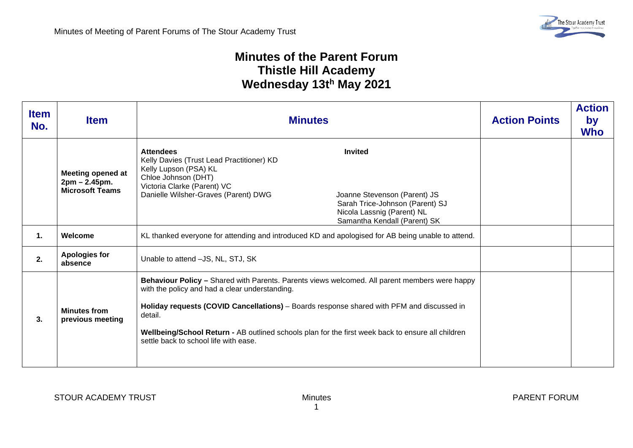## **Minutes of the Parent Forum Thistle Hill Academy Wednesday 13th May 2021**

| <b>Item</b><br>No. | <b>Item</b>                                                  | <b>Minutes</b>                                                                                                                                                                                                                                                                                                                                                                                        | <b>Action Points</b> | <b>Action</b><br>by<br><b>Who</b> |
|--------------------|--------------------------------------------------------------|-------------------------------------------------------------------------------------------------------------------------------------------------------------------------------------------------------------------------------------------------------------------------------------------------------------------------------------------------------------------------------------------------------|----------------------|-----------------------------------|
|                    | Meeting opened at<br>2pm – 2.45pm.<br><b>Microsoft Teams</b> | <b>Invited</b><br><b>Attendees</b><br>Kelly Davies (Trust Lead Practitioner) KD<br>Kelly Lupson (PSA) KL<br>Chloe Johnson (DHT)<br>Victoria Clarke (Parent) VC<br>Danielle Wilsher-Graves (Parent) DWG<br>Joanne Stevenson (Parent) JS<br>Sarah Trice-Johnson (Parent) SJ<br>Nicola Lassnig (Parent) NL<br>Samantha Kendall (Parent) SK                                                               |                      |                                   |
| 1.                 | Welcome                                                      | KL thanked everyone for attending and introduced KD and apologised for AB being unable to attend.                                                                                                                                                                                                                                                                                                     |                      |                                   |
| 2.                 | <b>Apologies for</b><br>absence                              | Unable to attend -JS, NL, STJ, SK                                                                                                                                                                                                                                                                                                                                                                     |                      |                                   |
| 3.                 | <b>Minutes from</b><br>previous meeting                      | Behaviour Policy - Shared with Parents. Parents views welcomed. All parent members were happy<br>with the policy and had a clear understanding.<br>Holiday requests (COVID Cancellations) - Boards response shared with PFM and discussed in<br>detail.<br>Wellbeing/School Return - AB outlined schools plan for the first week back to ensure all children<br>settle back to school life with ease. |                      |                                   |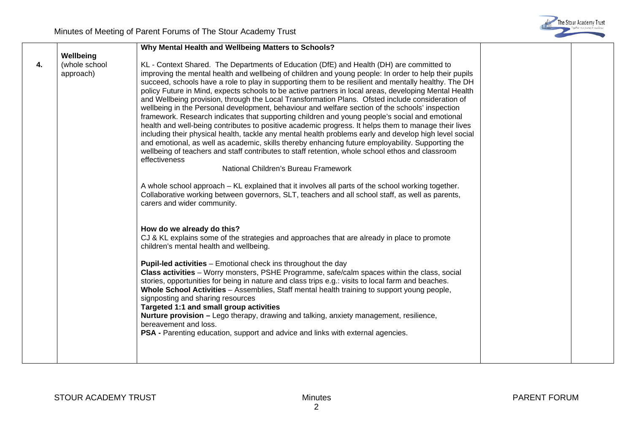

|    |               | Why Mental Health and Wellbeing Matters to Schools?                                                                                                                                                 |  |
|----|---------------|-----------------------------------------------------------------------------------------------------------------------------------------------------------------------------------------------------|--|
|    | Wellbeing     |                                                                                                                                                                                                     |  |
| 4. | (whole school | KL - Context Shared. The Departments of Education (DfE) and Health (DH) are committed to                                                                                                            |  |
|    | approach)     | improving the mental health and wellbeing of children and young people: In order to help their pupils                                                                                               |  |
|    |               | succeed, schools have a role to play in supporting them to be resilient and mentally healthy. The DH                                                                                                |  |
|    |               | policy Future in Mind, expects schools to be active partners in local areas, developing Mental Health                                                                                               |  |
|    |               | and Wellbeing provision, through the Local Transformation Plans. Ofsted include consideration of<br>wellbeing in the Personal development, behaviour and welfare section of the schools' inspection |  |
|    |               | framework. Research indicates that supporting children and young people's social and emotional                                                                                                      |  |
|    |               | health and well-being contributes to positive academic progress. It helps them to manage their lives                                                                                                |  |
|    |               | including their physical health, tackle any mental health problems early and develop high level social                                                                                              |  |
|    |               | and emotional, as well as academic, skills thereby enhancing future employability. Supporting the                                                                                                   |  |
|    |               | wellbeing of teachers and staff contributes to staff retention, whole school ethos and classroom                                                                                                    |  |
|    |               | effectiveness                                                                                                                                                                                       |  |
|    |               | National Children's Bureau Framework                                                                                                                                                                |  |
|    |               | A whole school approach – KL explained that it involves all parts of the school working together.                                                                                                   |  |
|    |               | Collaborative working between governors, SLT, teachers and all school staff, as well as parents,                                                                                                    |  |
|    |               | carers and wider community.                                                                                                                                                                         |  |
|    |               |                                                                                                                                                                                                     |  |
|    |               | How do we already do this?                                                                                                                                                                          |  |
|    |               | CJ & KL explains some of the strategies and approaches that are already in place to promote                                                                                                         |  |
|    |               | children's mental health and wellbeing.                                                                                                                                                             |  |
|    |               | <b>Pupil-led activities</b> – Emotional check ins throughout the day                                                                                                                                |  |
|    |               | Class activities - Worry monsters, PSHE Programme, safe/calm spaces within the class, social                                                                                                        |  |
|    |               | stories, opportunities for being in nature and class trips e.g.: visits to local farm and beaches.                                                                                                  |  |
|    |               | Whole School Activities - Assemblies, Staff mental health training to support young people,                                                                                                         |  |
|    |               | signposting and sharing resources                                                                                                                                                                   |  |
|    |               | Targeted 1:1 and small group activities                                                                                                                                                             |  |
|    |               | <b>Nurture provision</b> – Lego therapy, drawing and talking, anxiety management, resilience,                                                                                                       |  |
|    |               | bereavement and loss.                                                                                                                                                                               |  |
|    |               | <b>PSA</b> - Parenting education, support and advice and links with external agencies.                                                                                                              |  |
|    |               |                                                                                                                                                                                                     |  |
|    |               |                                                                                                                                                                                                     |  |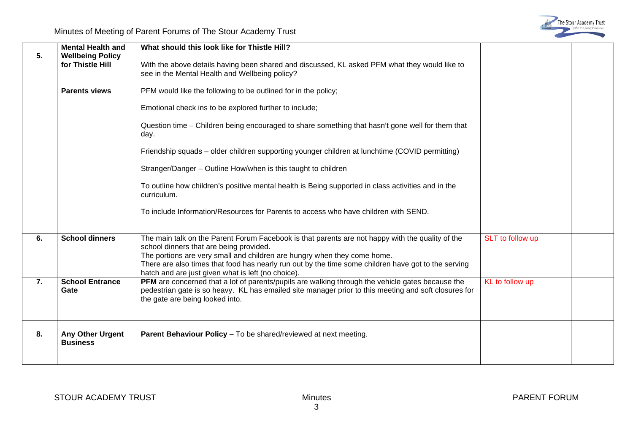

|    | <b>Mental Health and</b>                    | What should this look like for Thistle Hill?                                                                                                                                                                                                                                                                                                                                         |                  |  |
|----|---------------------------------------------|--------------------------------------------------------------------------------------------------------------------------------------------------------------------------------------------------------------------------------------------------------------------------------------------------------------------------------------------------------------------------------------|------------------|--|
| 5. | <b>Wellbeing Policy</b><br>for Thistle Hill | With the above details having been shared and discussed, KL asked PFM what they would like to<br>see in the Mental Health and Wellbeing policy?                                                                                                                                                                                                                                      |                  |  |
|    | <b>Parents views</b>                        | PFM would like the following to be outlined for in the policy;                                                                                                                                                                                                                                                                                                                       |                  |  |
|    |                                             | Emotional check ins to be explored further to include;                                                                                                                                                                                                                                                                                                                               |                  |  |
|    |                                             | Question time - Children being encouraged to share something that hasn't gone well for them that<br>day.                                                                                                                                                                                                                                                                             |                  |  |
|    |                                             | Friendship squads - older children supporting younger children at lunchtime (COVID permitting)                                                                                                                                                                                                                                                                                       |                  |  |
|    |                                             | Stranger/Danger - Outline How/when is this taught to children                                                                                                                                                                                                                                                                                                                        |                  |  |
|    |                                             | To outline how children's positive mental health is Being supported in class activities and in the<br>curriculum.                                                                                                                                                                                                                                                                    |                  |  |
|    |                                             | To include Information/Resources for Parents to access who have children with SEND.                                                                                                                                                                                                                                                                                                  |                  |  |
| 6. | <b>School dinners</b>                       | The main talk on the Parent Forum Facebook is that parents are not happy with the quality of the<br>school dinners that are being provided.<br>The portions are very small and children are hungry when they come home.<br>There are also times that food has nearly run out by the time some children have got to the serving<br>hatch and are just given what is left (no choice). | SLT to follow up |  |
| 7. | <b>School Entrance</b><br>Gate              | PFM are concerned that a lot of parents/pupils are walking through the vehicle gates because the<br>pedestrian gate is so heavy. KL has emailed site manager prior to this meeting and soft closures for<br>the gate are being looked into.                                                                                                                                          | KL to follow up  |  |
| 8. | Any Other Urgent<br><b>Business</b>         | <b>Parent Behaviour Policy</b> – To be shared/reviewed at next meeting.                                                                                                                                                                                                                                                                                                              |                  |  |